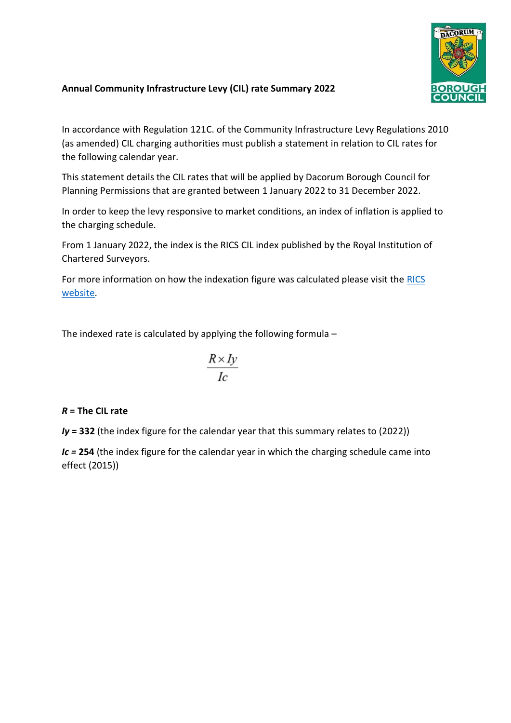

## **Annual Community Infrastructure Levy (CIL) rate Summary 2022**

In accordance with Regulation 121C. of the Community Infrastructure Levy Regulations 2010 (as amended) CIL charging authorities must publish a statement in relation to CIL rates for the following calendar year.

This statement details the CIL rates that will be applied by Dacorum Borough Council for Planning Permissions that are granted between 1 January 2022 to 31 December 2022.

In order to keep the levy responsive to market conditions, an index of inflation is applied to the charging schedule.

From 1 January 2022, the index is the RICS CIL index published by the Royal Institution of Chartered Surveyors.

For more information on how the indexation figure was calculated please visit the [RICS](https://www.rics.org/uk/products/data-products/rics-community-infrastructure-levy-index/)  [website.](https://www.rics.org/uk/products/data-products/rics-community-infrastructure-levy-index/)

The indexed rate is calculated by applying the following formula –

$$
\frac{R \times Iy}{Ic}
$$

## *R* **= The CIL rate**

*Iy* **= 332** (the index figure for the calendar year that this summary relates to (2022))

*Ic =* **254** (the index figure for the calendar year in which the charging schedule came into effect (2015))